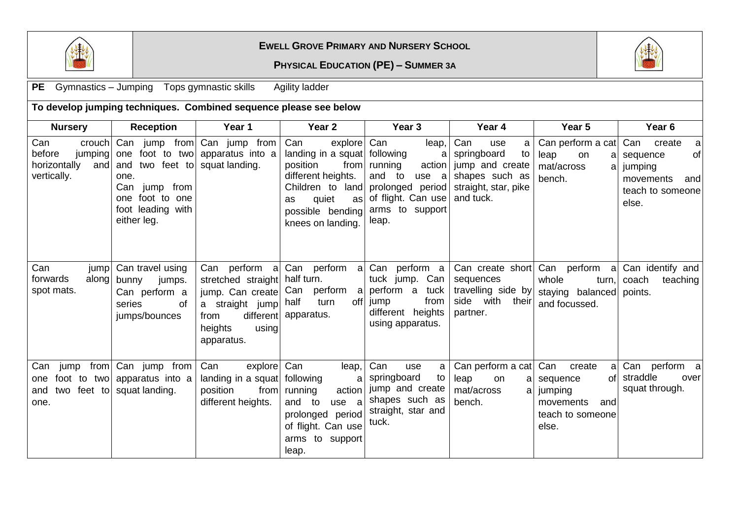

## **EWELL GROVE PRIMARY AND NURSERY SCHOOL**

## **PHYSICAL EDUCATION (PE) – SUMMER 3A**



PE Gymnastics – Jumping Tops gymnastic skills Agility ladder

| To develop jumping techniques. Combined sequence please see below        |                                                                                            |                                                                                                                                   |                                                                                                                                                                                         |                                                                                                                              |                                                                                                                |                                                                                                   |                                                                                                  |
|--------------------------------------------------------------------------|--------------------------------------------------------------------------------------------|-----------------------------------------------------------------------------------------------------------------------------------|-----------------------------------------------------------------------------------------------------------------------------------------------------------------------------------------|------------------------------------------------------------------------------------------------------------------------------|----------------------------------------------------------------------------------------------------------------|---------------------------------------------------------------------------------------------------|--------------------------------------------------------------------------------------------------|
| <b>Nursery</b>                                                           | <b>Reception</b>                                                                           | Year 1                                                                                                                            | Year <sub>2</sub>                                                                                                                                                                       | Year <sub>3</sub>                                                                                                            | Year 4                                                                                                         | Year 5                                                                                            | Year <sub>6</sub>                                                                                |
| Can<br>crouch<br>before<br>jumping<br>horizontally<br>and<br>vertically. | Can<br>and<br>one.<br>Can jump from<br>one foot to one<br>foot leading with<br>either leg. | jump from Can jump from<br>one foot to two apparatus into a<br>two feet to squat landing.                                         | explore Can<br>Can<br>landing in a squat   following<br>position<br>from<br>different heights.<br>Children to land<br>quiet<br>as<br><b>as</b><br>possible bending<br>knees on landing. | leap,<br>a<br>running<br>action<br>and to<br>use $a$<br>prolonged period<br>of flight. Can use<br>arms to support<br>leap.   | Can<br>use<br>a<br>springboard<br>to<br>jump and create<br>shapes such as<br>straight, star, pike<br>and tuck. | Can perform a cat<br>leap<br>on<br>a<br>mat/across<br>al<br>bench.                                | Can<br>create<br>a<br>of<br>sequence<br>jumping<br>and<br>movements<br>teach to someone<br>else. |
| Can<br>jump<br>forwards<br>along<br>spot mats.                           | Can travel using<br>bunny<br>jumps.<br>Can perform a<br>series<br>οf<br>jumps/bounces      | Can perform a<br>stretched straight<br>jump. Can create<br>a straight jump<br>different<br>from<br>heights<br>using<br>apparatus. | half turn.<br>Can perform a<br>half<br>turn<br>apparatus.                                                                                                                               | Can perform a Can perform a<br>tuck jump. Can<br>perform a tuck<br>from<br>off jump<br>different heights<br>using apparatus. | Can create short<br>sequences<br>travelling side by<br>side with their<br>partner.                             | Can perform a<br>whole<br>turn,<br>staying balanced<br>and focussed.                              | Can identify and<br>coach<br>teaching<br>points.                                                 |
| Can<br>jump<br>one<br>two feet to<br>and<br>one.                         | from Can jump from<br>foot to two apparatus into a<br>squat landing.                       | Can<br>explore<br>landing in a squat following<br>position<br>from<br>different heights.                                          | Can<br>leap,<br>a<br>running<br>action<br>and to<br>use a<br>prolonged period<br>of flight. Can use<br>arms to support<br>leap.                                                         | Can<br>use<br>a<br>springboard<br>to<br>jump and create<br>shapes such as<br>straight, star and<br>tuck.                     | Can perform a cat<br>leap<br>on<br>a<br>mat/across<br>a<br>bench.                                              | Can<br>create<br>a<br>sequence<br>ofl<br>jumping<br>movements<br>and<br>teach to someone<br>else. | Can perform a<br>straddle<br>over<br>squat through.                                              |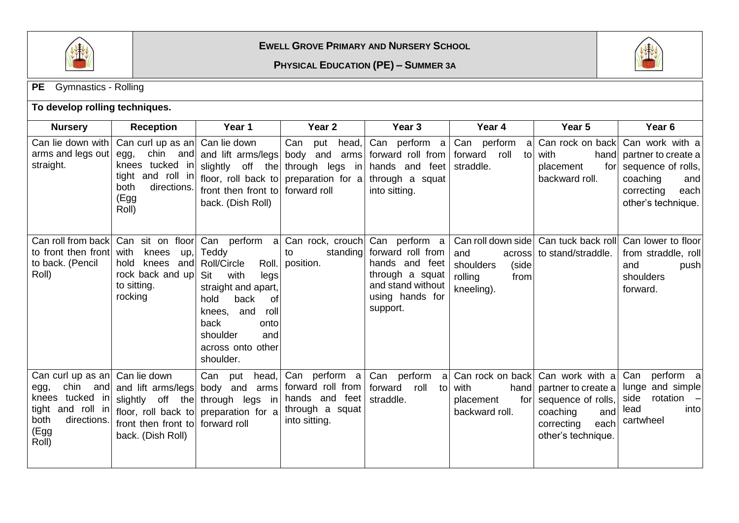

**EWELL GROVE PRIMARY AND NURSERY SCHOOL**

**PHYSICAL EDUCATION (PE) – SUMMER 3A**



| <b>PE</b><br><b>Gymnastics - Rolling</b>                                                                                            |                                                                                                                         |                                                                                                                                                                                                                  |                                                                                                                                  |                                                                                                                             |                                                                                            |                                                                                                                                              |                                                                                                                                  |
|-------------------------------------------------------------------------------------------------------------------------------------|-------------------------------------------------------------------------------------------------------------------------|------------------------------------------------------------------------------------------------------------------------------------------------------------------------------------------------------------------|----------------------------------------------------------------------------------------------------------------------------------|-----------------------------------------------------------------------------------------------------------------------------|--------------------------------------------------------------------------------------------|----------------------------------------------------------------------------------------------------------------------------------------------|----------------------------------------------------------------------------------------------------------------------------------|
| To develop rolling techniques.                                                                                                      |                                                                                                                         |                                                                                                                                                                                                                  |                                                                                                                                  |                                                                                                                             |                                                                                            |                                                                                                                                              |                                                                                                                                  |
| <b>Nursery</b>                                                                                                                      | <b>Reception</b>                                                                                                        | Year 1                                                                                                                                                                                                           | Year <sub>2</sub>                                                                                                                | Year <sub>3</sub>                                                                                                           | Year 4                                                                                     | Year 5                                                                                                                                       | Year <sub>6</sub>                                                                                                                |
| Can lie down with<br>arms and legs out<br>straight.                                                                                 | Can curl up as an  Can lie down<br>egg,<br>knees tucked in<br>tight and roll in<br>both<br>directions.<br>(Egg<br>Roll) | chin and and lift arms/legs<br>floor, roll back to<br>front then front to<br>back. (Dish Roll)                                                                                                                   | Can<br>head,<br>put<br>body and<br>arms<br>slightly off the through legs in<br>preparation for a through a squat<br>forward roll | Can perform $a$<br>forward roll from<br>hands and feet<br>into sitting.                                                     | Can<br>perform<br>a<br>roll<br>forward<br>tol<br>straddle.                                 | Can rock on back<br>with<br>placement<br>for<br>backward roll.                                                                               | Can work with a<br>hand partner to create a<br>sequence of rolls,<br>coaching<br>and<br>correcting<br>each<br>other's technique. |
| Can roll from back<br>to front then front<br>to back. (Pencil<br>Roll)                                                              | Can sit on<br>floor<br>with<br>knees<br>up,<br>hold<br>knees<br>and<br>rock back and up<br>to sitting.<br>rocking       | Can perform a<br>Teddy<br>Roll/Circle<br>Roll.<br>Sit<br>with<br>legs<br>straight and apart,<br>hold<br>back<br>οf<br>and<br>roll<br>knees,<br>back<br>onto<br>shoulder<br>and<br>across onto other<br>shoulder. | Can rock, crouch<br>standing<br>to<br>position.                                                                                  | Can perform a<br>forward roll from<br>hands and feet<br>through a squat<br>and stand without<br>using hands for<br>support. | Can roll down side<br>and<br>across<br>shoulders<br>(side<br>rolling<br>from<br>kneeling). | Can tuck back roll<br>to stand/straddle.                                                                                                     | Can lower to floor<br>from straddle, roll<br>and<br>push<br>shoulders<br>forward.                                                |
| Can curl up as an  Can lie down<br>chin and<br>egg,<br>knees tucked in<br>tight and roll in<br>directions.<br>both<br>(Egg<br>Roll) | and lift arms/legs<br>slightly off the<br>front then front to<br>back. (Dish Roll)                                      | Can<br>put<br>head,<br>body and arms<br>through legs in<br>floor, roll back to preparation for a<br>forward roll                                                                                                 | Can perform a<br>forward roll from<br>hands and feet<br>through a squat<br>into sitting.                                         | Can perform<br>al<br>forward<br>roll<br>straddle.                                                                           | to with<br>hand<br>for<br>placement<br>backward roll.                                      | Can rock on back Can work with a<br>partner to create a<br>sequence of rolls,<br>coaching<br>and<br>correcting<br>each<br>other's technique. | Can<br>perform a<br>lunge and simple<br>rotation<br>side<br>$\overline{\phantom{0}}$<br>lead<br>into<br>cartwheel                |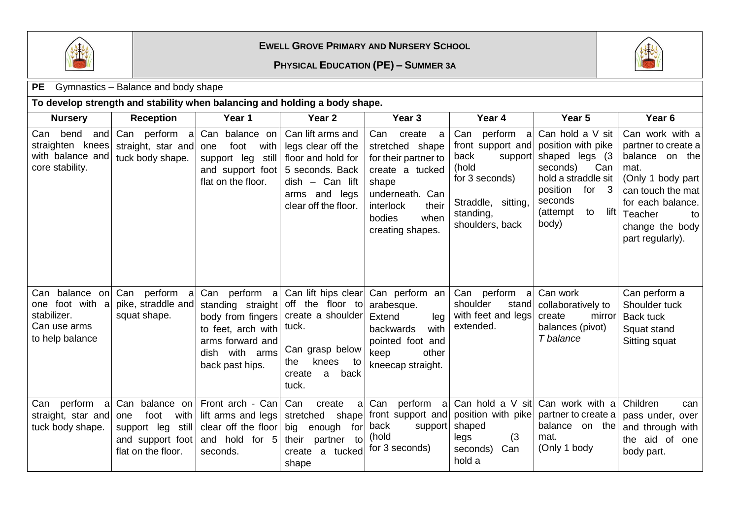

## **EWELL GROVE PRIMARY AND NURSERY SCHOOL**

**PHYSICAL EDUCATION (PE) – SUMMER 3A**



| Gymnastics – Balance and body shape<br><b>PE</b>                           |                                                                                                      |                                                                                                                                        |                                                                                                                                                |                                                                                                                                                                       |                                                                                                                                        |                                                                                                                                                                          |                                                                                                                                                                                         |
|----------------------------------------------------------------------------|------------------------------------------------------------------------------------------------------|----------------------------------------------------------------------------------------------------------------------------------------|------------------------------------------------------------------------------------------------------------------------------------------------|-----------------------------------------------------------------------------------------------------------------------------------------------------------------------|----------------------------------------------------------------------------------------------------------------------------------------|--------------------------------------------------------------------------------------------------------------------------------------------------------------------------|-----------------------------------------------------------------------------------------------------------------------------------------------------------------------------------------|
| To develop strength and stability when balancing and holding a body shape. |                                                                                                      |                                                                                                                                        |                                                                                                                                                |                                                                                                                                                                       |                                                                                                                                        |                                                                                                                                                                          |                                                                                                                                                                                         |
| <b>Nursery</b>                                                             | <b>Reception</b>                                                                                     | Year 1                                                                                                                                 | Year <sub>2</sub>                                                                                                                              | Year 3                                                                                                                                                                | Year 4                                                                                                                                 | Year 5                                                                                                                                                                   | Year <sub>6</sub>                                                                                                                                                                       |
| Can bend<br>straighten knees<br>with balance and<br>core stability.        | and Can perform a<br>straight, star and<br>tuck body shape.                                          | Can balance on<br>with<br>one<br>foot<br>support leg<br>still<br>and support foot<br>flat on the floor.                                | Can lift arms and<br>legs clear off the<br>floor and hold for<br>5 seconds. Back<br>$dish - Can$ lift<br>arms and legs<br>clear off the floor. | Can create<br>a<br>stretched shape<br>for their partner to<br>create a tucked<br>shape<br>underneath. Can<br>interlock<br>their<br>when<br>bodies<br>creating shapes. | Can perform a<br>front support and<br>back<br>support<br>(hold<br>for 3 seconds)<br>Straddle, sitting,<br>standing,<br>shoulders, back | Can hold a V sit<br>position with pike<br>shaped legs (3)<br>seconds)<br>Can<br>hold a straddle sit<br>position<br>for $3$<br>seconds<br>lift<br>(attempt<br>to<br>body) | Can work with a<br>partner to create a<br>balance on the<br>mat.<br>(Only 1 body part<br>can touch the mat<br>for each balance.<br>Teacher<br>to<br>change the body<br>part regularly). |
| one foot with a<br>stabilizer.<br>Can use arms<br>to help balance          | Can balance on Can perform a<br>pike, straddle and<br>squat shape.                                   | Can perform a<br>standing straight<br>body from fingers<br>to feet, arch with<br>arms forward and<br>dish with arms<br>back past hips. | off the floor to<br>create a shoulder<br>tuck.<br>Can grasp below<br>knees<br>the<br>to<br>back<br>create<br>a<br>tuck.                        | Can lift hips clear Can perform an<br>arabesque.<br>Extend<br>leg<br>with<br>backwards<br>pointed foot and<br>other<br>keep<br>kneecap straight.                      | Can perform a<br>shoulder<br>stand<br>with feet and legs<br>extended.                                                                  | Can work<br>collaboratively to<br>create<br>mirror<br>balances (pivot)<br>T balance                                                                                      | Can perform a<br>Shoulder tuck<br><b>Back tuck</b><br>Squat stand<br>Sitting squat                                                                                                      |
| Can perform a<br>straight, star and<br>tuck body shape.                    | Can balance on<br>with<br>foot<br>one<br>support leg still<br>and support foot<br>flat on the floor. | Front arch - Can<br>lift arms and legs<br>clear off the floor<br>and hold for 5<br>seconds.                                            | Can<br>create<br> a <br>stretched shape<br>big enough for<br>their partner to<br>a tucked<br>create<br>shape                                   | perform a<br>Can<br>back<br>support<br>(hold<br>for 3 seconds)                                                                                                        | Can hold a V sit<br>front support and position with pike<br>shaped<br>(3)<br>legs<br>Can<br>seconds)<br>hold a                         | Can work with a<br>partner to create a<br>balance on the<br>mat.<br>(Only 1 body                                                                                         | Children<br>can<br>pass under, over<br>and through with<br>the aid of one<br>body part.                                                                                                 |